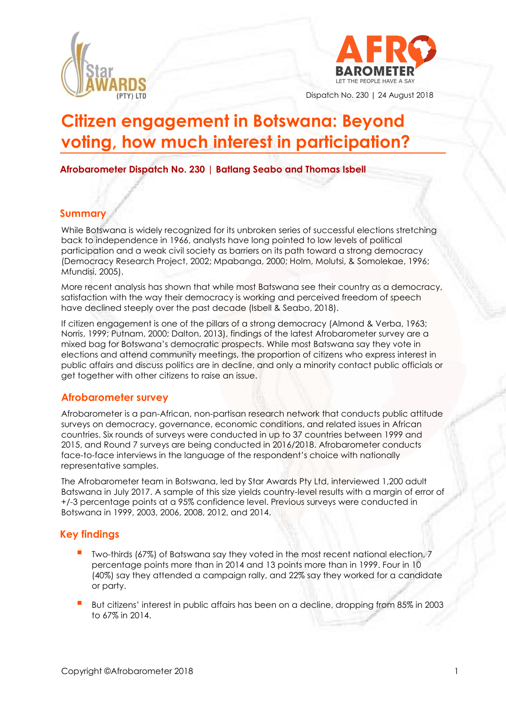



Dispatch No. 230 | 24 August 2018

# **Citizen engagement in Botswana: Beyond voting, how much interest in participation?**

**Afrobarometer Dispatch No. 230 | Batlang Seabo and Thomas Isbell** 

#### **Summary**

While Botswana is widely recognized for its unbroken series of successful elections stretching back to independence in 1966, analysts have long pointed to low levels of political participation and a weak civil society as barriers on its path toward a strong democracy (Democracy Research Project, 2002; Mpabanga, 2000; Holm, Molutsi, & Somolekae, 1996; Mfundisi, 2005).

More recent analysis has shown that while most Batswana see their country as a democracy, satisfaction with the way their democracy is working and perceived freedom of speech have declined steeply over the past decade (Isbell & Seabo, 2018).

If citizen engagement is one of the pillars of a strong democracy (Almond & Verba, 1963; Norris, 1999; Putnam, 2000; Dalton, 2013), findings of the latest Afrobarometer survey are a mixed bag for Botswana's democratic prospects. While most Batswana say they vote in elections and attend community meetings, the proportion of citizens who express interest in public affairs and discuss politics are in decline, and only a minority contact public officials or get together with other citizens to raise an issue.

#### **Afrobarometer survey**

Afrobarometer is a pan-African, non-partisan research network that conducts public attitude surveys on democracy, governance, economic conditions, and related issues in African countries. Six rounds of surveys were conducted in up to 37 countries between 1999 and 2015, and Round 7 surveys are being conducted in 2016/2018. Afrobarometer conducts face-to-face interviews in the language of the respondent's choice with nationally representative samples.

The Afrobarometer team in Botswana, led by Star Awards Pty Ltd, interviewed 1,200 adult Batswana in July 2017. A sample of this size yields country-level results with a margin of error of +/-3 percentage points at a 95% confidence level. Previous surveys were conducted in Botswana in 1999, 2003, 2006, 2008, 2012, and 2014.

# **Key findings**

- Two-thirds (67%) of Batswana say they voted in the most recent national election, 7 percentage points more than in 2014 and 13 points more than in 1999. Four in 10 (40%) say they attended a campaign rally, and 22% say they worked for a candidate or party.
- But citizens' interest in public affairs has been on a decline, dropping from 85% in 2003 to 67% in 2014.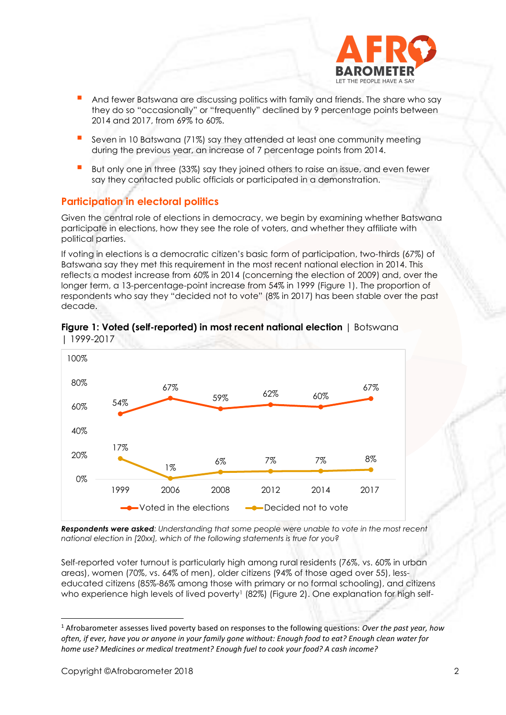

- And fewer Batswana are discussing politics with family and friends. The share who say they do so "occasionally" or "frequently" declined by 9 percentage points between 2014 and 2017, from 69% to 60%.
- Seven in 10 Batswana (71%) say they attended at least one community meeting during the previous year, an increase of 7 percentage points from 2014.
- But only one in three (33%) say they joined others to raise an issue, and even fewer say they contacted public officials or participated in a demonstration.

# **Participation in electoral politics**

Given the central role of elections in democracy, we begin by examining whether Batswana participate in elections, how they see the role of voters, and whether they affiliate with political parties.

If voting in elections is a democratic citizen's basic form of participation, two-thirds (67%) of Batswana say they met this requirement in the most recent national election in 2014. This reflects a modest increase from 60% in 2014 (concerning the election of 2009) and, over the longer term, a 13-percentage-point increase from 54% in 1999 (Figure 1). The proportion of respondents who say they "decided not to vote" (8% in 2017) has been stable over the past decade.



#### **Figure 1: Voted (self-reported) in most recent national election** | Botswana | 1999-2017

*Respondents were asked: Understanding that some people were unable to vote in the most recent national election in [20xx], which of the following statements is true for you?* 

Self-reported voter turnout is particularly high among rural residents (76%, vs. 60% in urban areas), women (70%, vs. 64% of men), older citizens (94% of those aged over 55), lesseducated citizens (85%-86% among those with primary or no formal schooling), and citizens who experience high levels of lived poverty<sup>1</sup> (82%) (Figure 2). One explanation for high self-

<sup>1</sup> Afrobarometer assesses lived poverty based on responses to the following questions: *Over the past year, how often, if ever, have you or anyone in your family gone without: Enough food to eat? Enough clean water for home use? Medicines or medical treatment? Enough fuel to cook your food? A cash income?*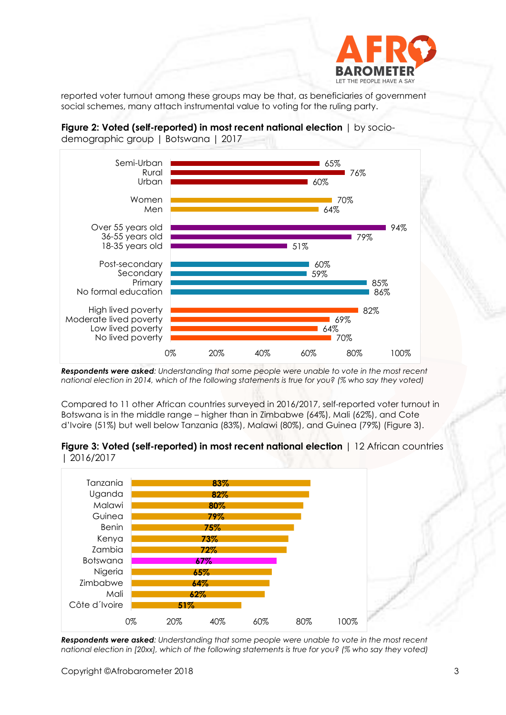

reported voter turnout among these groups may be that, as beneficiaries of government social schemes, many attach instrumental value to voting for the ruling party.

**Figure 2: Voted (self-reported) in most recent national election** | by sociodemographic group | Botswana | 2017



*Respondents were asked: Understanding that some people were unable to vote in the most recent national election in 2014, which of the following statements is true for you? (% who say they voted)*

Compared to 11 other African countries surveyed in 2016/2017, self-reported voter turnout in Botswana is in the middle range – higher than in Zimbabwe (64%), Mali (62%), and Cote d'Ivoire (51%) but well below Tanzania (83%), Malawi (80%), and Guinea (79%) (Figure 3).





*Respondents were asked: Understanding that some people were unable to vote in the most recent national election in [20xx], which of the following statements is true for you? (% who say they voted)*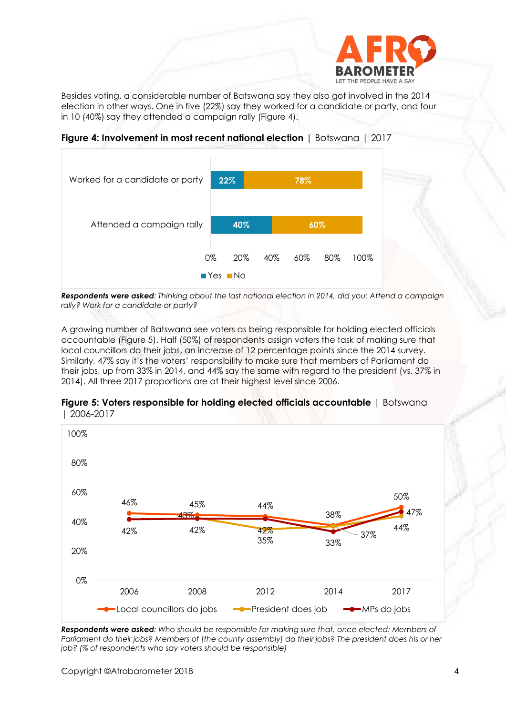

Besides voting, a considerable number of Batswana say they also got involved in the 2014 election in other ways. One in five (22%) say they worked for a candidate or party, and four in 10 (40%) say they attended a campaign rally (Figure 4).





*Respondents were asked: Thinking about the last national election in 2014, did you: Attend a campaign rally? Work for a candidate or party?*

A growing number of Batswana see voters as being responsible for holding elected officials accountable (Figure 5). Half (50%) of respondents assign voters the task of making sure that local councillors do their jobs, an increase of 12 percentage points since the 2014 survey. Similarly, 47% say it's the voters' responsibility to make sure that members of Parliament do their jobs, up from 33% in 2014, and 44% say the same with regard to the president (vs. 37% in 2014). All three 2017 proportions are at their highest level since 2006.



**Figure 5: Voters responsible for holding elected officials accountable** | Botswana | 2006-2017

*Respondents were asked: Who should be responsible for making sure that, once elected: Members of Parliament do their jobs? Members of [the county assembly] do their jobs? The president does his or her job? (% of respondents who say voters should be responsible)*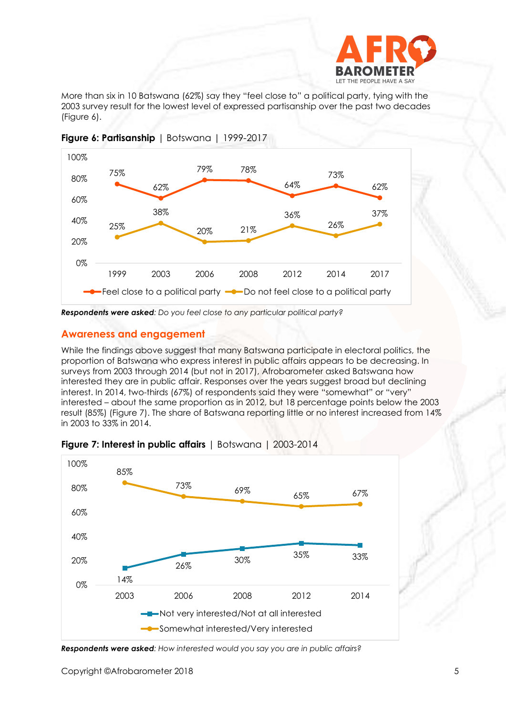

More than six in 10 Batswana (62%) say they "feel close to" a political party, tying with the 2003 survey result for the lowest level of expressed partisanship over the past two decades (Figure 6).





*Respondents were asked: Do you feel close to any particular political party?*

#### **Awareness and engagement**

While the findings above suggest that many Batswana participate in electoral politics, the proportion of Batswana who express interest in public affairs appears to be decreasing. In surveys from 2003 through 2014 (but not in 2017), Afrobarometer asked Batswana how interested they are in public affair. Responses over the years suggest broad but declining interest. In 2014, two-thirds (67%) of respondents said they were "somewhat" or "very" interested – about the same proportion as in 2012, but 18 percentage points below the 2003 result (85%) (Figure 7). The share of Batswana reporting little or no interest increased from 14% in 2003 to 33% in 2014.





*Respondents were asked: How interested would you say you are in public affairs?*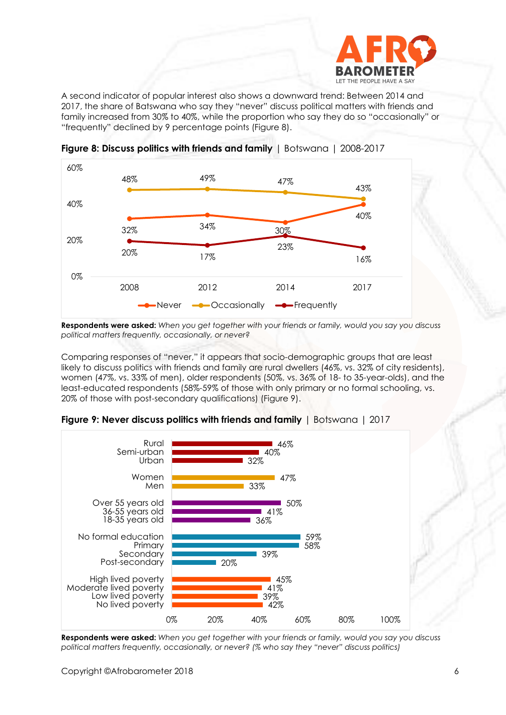

A second indicator of popular interest also shows a downward trend: Between 2014 and 2017, the share of Batswana who say they "never" discuss political matters with friends and family increased from 30% to 40%, while the proportion who say they do so "occasionally" or "frequently" declined by 9 percentage points (Figure 8).



**Figure 8: Discuss politics with friends and family** | Botswana | 2008-2017

**Respondents were asked:** *When you get together with your friends or family, would you say you discuss political matters frequently, occasionally, or never?*

Comparing responses of "never," it appears that socio-demographic groups that are least likely to discuss politics with friends and family are rural dwellers (46%, vs. 32% of city residents), women (47%, vs. 33% of men), older respondents (50%, vs. 36% of 18- to 35-year-olds), and the least-educated respondents (58%-59% of those with only primary or no formal schooling, vs. 20% of those with post-secondary qualifications) (Figure 9).



**Figure 9: Never discuss politics with friends and family** | Botswana | 2017

**Respondents were asked:** *When you get together with your friends or family, would you say you discuss political matters frequently, occasionally, or never? (% who say they "never" discuss politics)*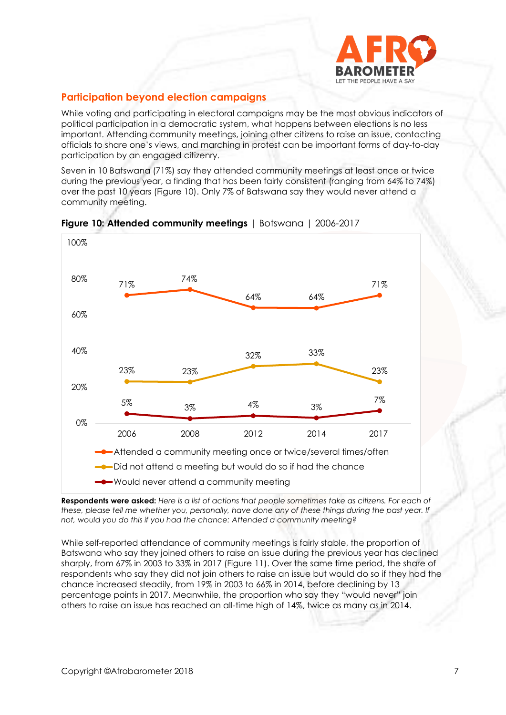

# **Participation beyond election campaigns**

While voting and participating in electoral campaigns may be the most obvious indicators of political participation in a democratic system, what happens between elections is no less important. Attending community meetings, joining other citizens to raise an issue, contacting officials to share one's views, and marching in protest can be important forms of day-to-day participation by an engaged citizenry.

Seven in 10 Batswana (71%) say they attended community meetings at least once or twice during the previous year, a finding that has been fairly consistent (ranging from 64% to 74%) over the past 10 years (Figure 10). Only 7% of Batswana say they would never attend a community meeting.



**Figure 10: Attended community meetings** | Botswana | 2006-2017

**Respondents were asked:** *Here is a list of actions that people sometimes take as citizens. For each of*  these, please tell me whether you, personally, have done any of these things during the past year. If *not, would you do this if you had the chance: Attended a community meeting?*

While self-reported attendance of community meetings is fairly stable, the proportion of Batswana who say they joined others to raise an issue during the previous year has declined sharply, from 67% in 2003 to 33% in 2017 (Figure 11). Over the same time period, the share of respondents who say they did not join others to raise an issue but would do so if they had the chance increased steadily, from 19% in 2003 to 66% in 2014, before declining by 13 percentage points in 2017. Meanwhile, the proportion who say they "would never" join others to raise an issue has reached an all-time high of 14%, twice as many as in 2014.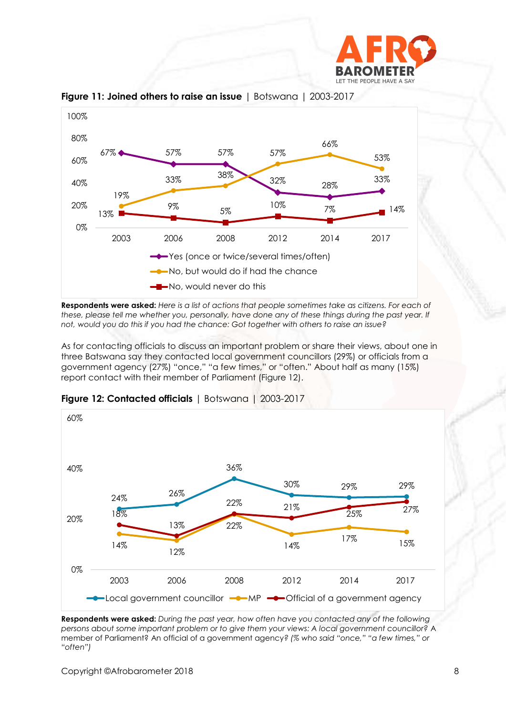



**Figure 11: Joined others to raise an issue** | Botswana | 2003-2017

**Respondents were asked:** *Here is a list of actions that people sometimes take as citizens. For each of*  these, please tell me whether you, personally, have done any of these things during the past year. If *not, would you do this if you had the chance: Got together with others to raise an issue?*

As for contacting officials to discuss an important problem or share their views, about one in three Batswana say they contacted local government councillors (29%) or officials from a government agency (27%) "once," "a few times," or "often." About half as many (15%) report contact with their member of Parliament (Figure 12).



**Figure 12: Contacted officials** | Botswana | 2003-2017

**Respondents were asked:** *During the past year, how often have you contacted any of the following persons about some important problem or to give them your views: A local government councillor?* A member of Parliament? An official of a government agency*? (% who said "once," "a few times," or "often")*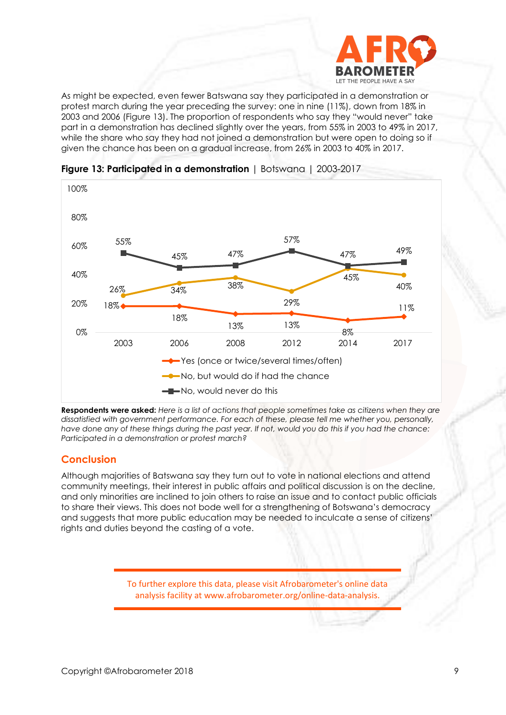

As might be expected, even fewer Batswana say they participated in a demonstration or protest march during the year preceding the survey: one in nine (11%), down from 18% in 2003 and 2006 (Figure 13). The proportion of respondents who say they "would never" take part in a demonstration has declined slightly over the years, from 55% in 2003 to 49% in 2017, while the share who say they had not joined a demonstration but were open to doing so if given the chance has been on a gradual increase, from 26% in 2003 to 40% in 2017.



**Figure 13: Participated in a demonstration** | Botswana | 2003-2017

**Respondents were asked:** *Here is a list of actions that people sometimes take as citizens when they are dissatisfied with government performance. For each of these, please tell me whether you, personally, have done any of these things during the past year. If not, would you do this if you had the chance: Participated in a demonstration or protest march?*

#### **Conclusion**

Although majorities of Batswana say they turn out to vote in national elections and attend community meetings, their interest in public affairs and political discussion is on the decline, and only minorities are inclined to join others to raise an issue and to contact public officials to share their views. This does not bode well for a strengthening of Botswana's democracy and suggests that more public education may be needed to inculcate a sense of citizens' rights and duties beyond the casting of a vote.

> To further explore this data, please visit Afrobarometer's online data analysis facility at www.afrobarometer.org/online-data-analysis.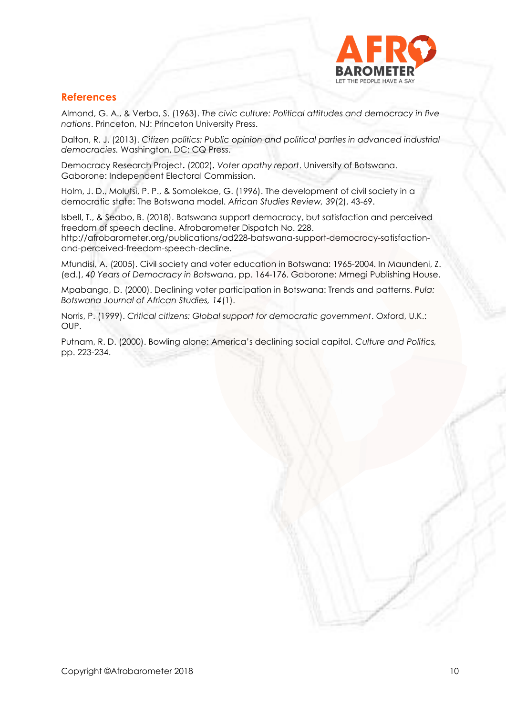

### **References**

Almond, G. A., & Verba, S. (1963). *The civic culture: Political attitudes and democracy in five nations*. Princeton, NJ: Princeton University Press.

Dalton, R. J. (2013). *Citizen politics: Public opinion and political parties in advanced industrial democracies.* Washington, DC: CQ Press.

Democracy Research Project**.** (2002)**.** *Voter apathy report*. University of Botswana. Gaborone: Independent Electoral Commission.

Holm, J. D., Molutsi, P. P., & Somolekae, G. (1996). The development of civil society in a democratic state: The Botswana model. *African Studies Review, 39*(2), 43-69.

Isbell, T., & Seabo, B. (2018). Batswana support democracy, but satisfaction and perceived freedom of speech decline. Afrobarometer Dispatch No. 228.

http://afrobarometer.org/publications/ad228-batswana-support-democracy-satisfactionand-perceived-freedom-speech-decline.

Mfundisi, A. (2005). Civil society and voter education in Botswana: 1965-2004. In Maundeni, Z. (ed.), *40 Years of Democracy in Botswana*, pp. 164-176. Gaborone: Mmegi Publishing House.

Mpabanga, D. (2000). Declining voter participation in Botswana: Trends and patterns. *Pula: Botswana Journal of African Studies, 14*(1).

Norris, P. (1999). *Critical citizens: Global support for democratic government*. Oxford, U.K.: OUP.

Putnam, R. D. (2000). Bowling alone: America's declining social capital. *Culture and Politics,* pp. 223-234.